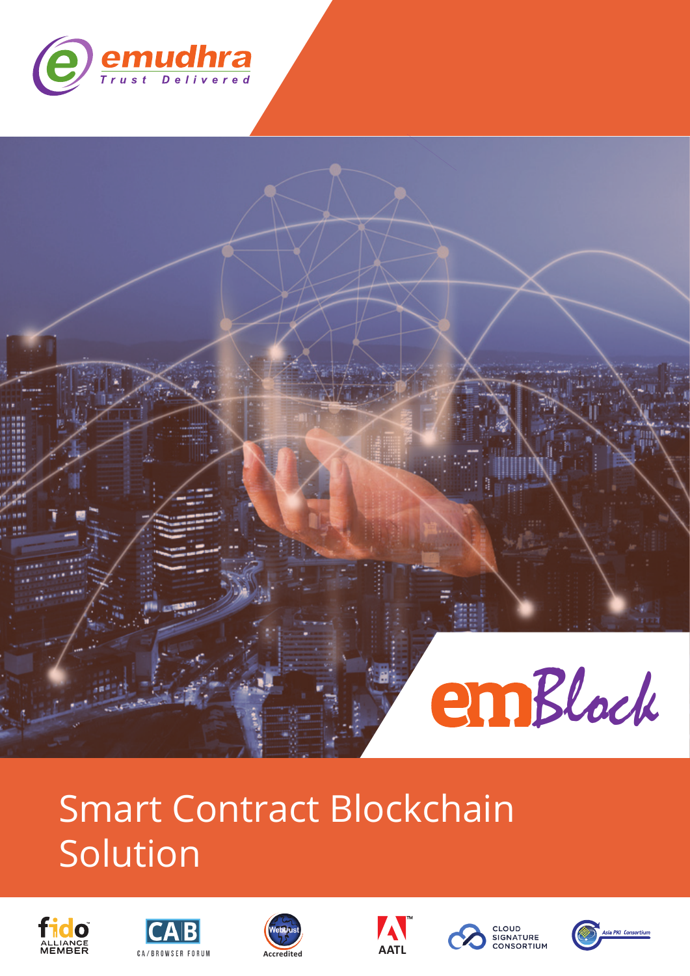

# Block

# Smart Contract Blockchain Solution













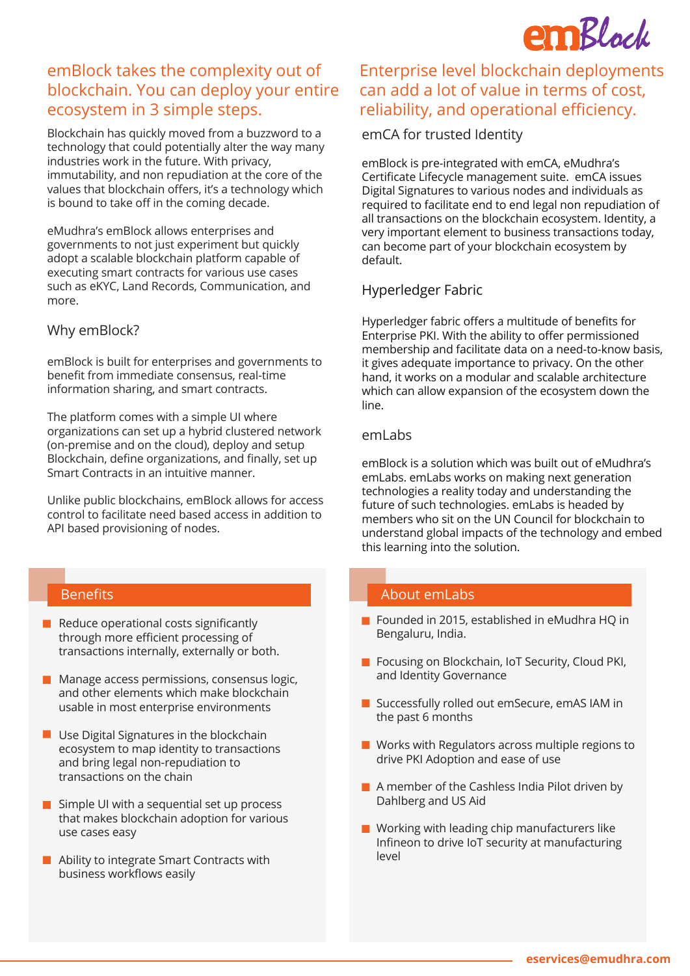

### emBlock takes the complexity out of blockchain. You can deploy your entire ecosystem in 3 simple steps.

Blockchain has quickly moved from a buzzword to a technology that could potentially alter the way many industries work in the future. With privacy, immutability, and non repudiation at the core of the values that blockchain offers, it's a technology which is bound to take off in the coming decade.

eMudhra's emBlock allows enterprises and governments to not just experiment but quickly adopt a scalable blockchain platform capable of executing smart contracts for various use cases such as eKYC, Land Records, Communication, and more.

### Why emBlock?

emBlock is built for enterprises and governments to benefit from immediate consensus, real-time information sharing, and smart contracts.

The platform comes with a simple UI where organizations can set up a hybrid clustered network (on-premise and on the cloud), deploy and setup Blockchain, define organizations, and finally, set up Smart Contracts in an intuitive manner.

Unlike public blockchains, emBlock allows for access control to facilitate need based access in addition to API based provisioning of nodes.

- $\blacksquare$  Reduce operational costs significantly through more efficient processing of transactions internally, externally or both.
- $\blacksquare$  Manage access permissions, consensus logic, and other elements which make blockchain usable in most enterprise environments
- $\blacksquare$  Use Digital Signatures in the blockchain ecosystem to map identity to transactions and bring legal non-repudiation to transactions on the chain
- $\blacksquare$  Simple UI with a sequential set up process that makes blockchain adoption for various use cases easy
- Ability to integrate Smart Contracts with business workflows easily

### Enterprise level blockchain deployments can add a lot of value in terms of cost, reliability, and operational efficiency.

emCA for trusted Identity

emBlock is pre-integrated with emCA, eMudhra's Certificate Lifecycle management suite. emCA issues Digital Signatures to various nodes and individuals as required to facilitate end to end legal non repudiation of all transactions on the blockchain ecosystem. Identity, a very important element to business transactions today, can become part of your blockchain ecosystem by default.

### Hyperledger Fabric

Hyperledger fabric offers a multitude of benefits for Enterprise PKI. With the ability to offer permissioned membership and facilitate data on a need-to-know basis, it gives adequate importance to privacy. On the other hand, it works on a modular and scalable architecture which can allow expansion of the ecosystem down the line.

### emLabs

emBlock is a solution which was built out of eMudhra's emLabs. emLabs works on making next generation technologies a reality today and understanding the future of such technologies. emLabs is headed by members who sit on the UN Council for blockchain to understand global impacts of the technology and embed this learning into the solution.

### Benefits About emLabs

- Founded in 2015, established in eMudhra HQ in Bengaluru, India.
- Focusing on Blockchain, IoT Security, Cloud PKI, and Identity Governance
- Successfully rolled out emSecure, emAS IAM in the past 6 months
- **Works with Regulators across multiple regions to** drive PKI Adoption and ease of use
- A member of the Cashless India Pilot driven by Dahlberg and US Aid
- **Working with leading chip manufacturers like** Infineon to drive IoT security at manufacturing level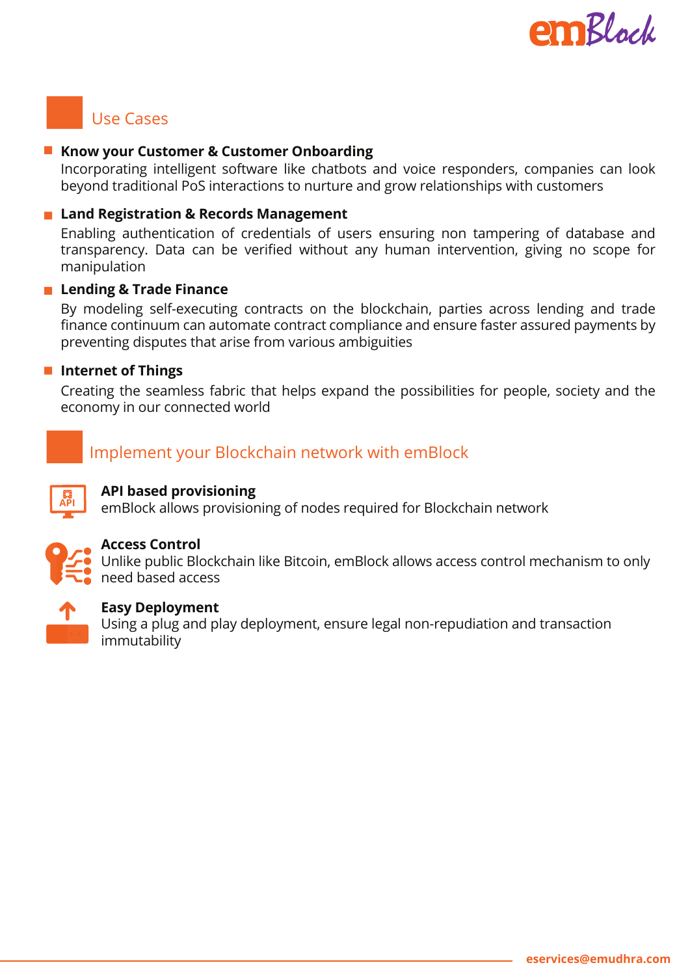

## Use Cases

### **Know your Customer & Customer Onboarding**

Incorporating intelligent software like chatbots and voice responders, companies can look beyond traditional PoS interactions to nurture and grow relationships with customers

### **Land Registration & Records Management**

Enabling authentication of credentials of users ensuring non tampering of database and transparency. Data can be verified without any human intervention, giving no scope for manipulation

### **Lending & Trade Finance**

By modeling self-executing contracts on the blockchain, parties across lending and trade finance continuum can automate contract compliance and ensure faster assured payments by preventing disputes that arise from various ambiguities

### **Internet of Things**

Creating the seamless fabric that helps expand the possibilities for people, society and the economy in our connected world

### Implement your Blockchain network with emBlock



### **API based provisioning**

emBlock allows provisioning of nodes required for Blockchain network



### **Access Control**

Unlike public Blockchain like Bitcoin, emBlock allows access control mechanism to only need based access



### **Easy Deployment**

Using a plug and play deployment, ensure legal non-repudiation and transaction immutability